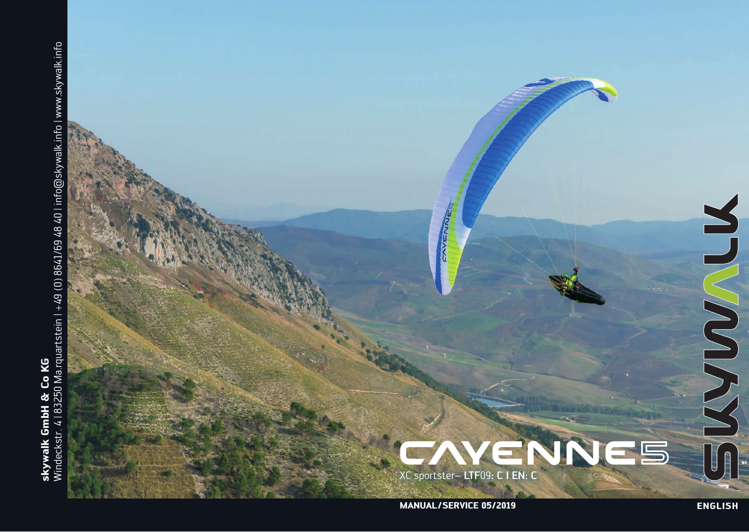

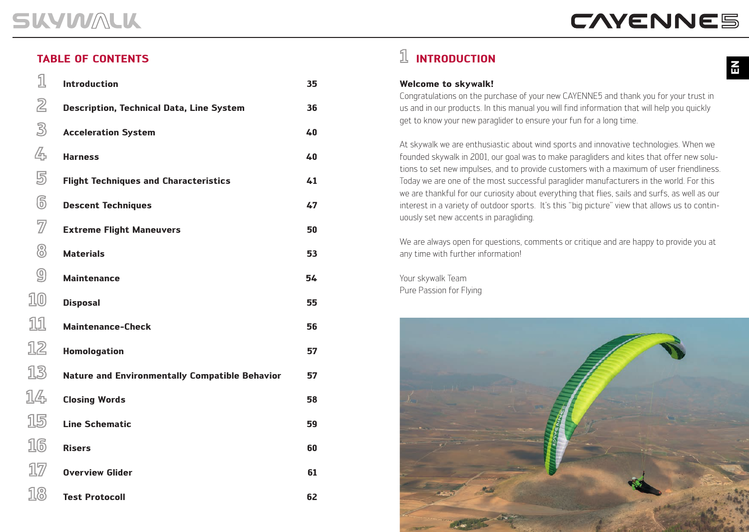1

### **TABLE OF CONTENTS**

| 1                       | <b>Introduction</b>                                   | 35 |
|-------------------------|-------------------------------------------------------|----|
| $\overline{2}$          | <b>Description, Technical Data, Line System</b>       | 36 |
| $\mathbb{B}$            | <b>Acceleration System</b>                            | 40 |
| 4                       | <b>Harness</b>                                        | 40 |
| 5                       | <b>Flight Techniques and Characteristics</b>          | 41 |
| $\circledS$             | <b>Descent Techniques</b>                             | 47 |
| $\overline{\mathbb{Z}}$ | <b>Extreme Flight Maneuvers</b>                       | 50 |
| 8                       | <b>Materials</b>                                      | 53 |
| $\circledS$             | <b>Maintenance</b>                                    | 54 |
| 10                      | <b>Disposal</b>                                       | 55 |
| 11                      | <b>Maintenance-Check</b>                              | 56 |
| 12                      | <b>Homologation</b>                                   | 57 |
| 13                      | <b>Nature and Environmentally Compatible Behavior</b> | 57 |
| 14                      | <b>Closing Words</b>                                  | 58 |
| 15                      | <b>Line Schematic</b>                                 | 59 |
| 16                      | <b>Risers</b>                                         | 60 |
| $1\!\!7$                | <b>Overview Glider</b>                                | 61 |
| 18                      | <b>Test Protocoll</b>                                 | 62 |

## **INTRODUCTION**

### **Welcome to skywalk!**

Congratulations on the purchase of your new CAYENNE5 and thank you for your trust in us and in our products. In this manual you will find information that will help you quickly get to know your new paraglider to ensure your fun for a long time.

At skywalk we are enthusiastic about wind sports and innovative technologies. When we founded skywalk in 2001, our goal was to make paragliders and kites that offer new solutions to set new impulses, and to provide customers with a maximum of user friendliness. Today we are one of the most successful paraglider manufacturers in the world. For this we are thankful for our curiosity about everything that flies, sails and surfs, as well as our interest in a variety of outdoor sports. It's this "big picture" view that allows us to continuously set new accents in paragliding.

We are always open for questions, comments or critique and are happy to provide you at any time with further information!

Your skywalk Team Pure Passion for Flying

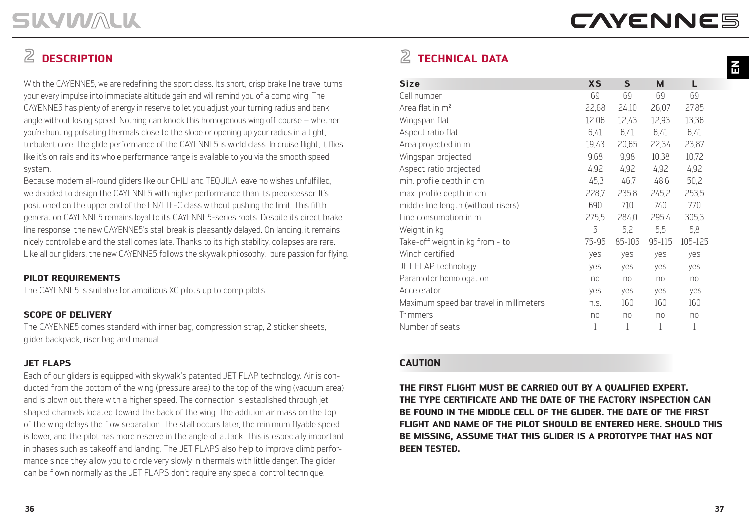**EN**

## **DESCRIPTION**

With the CAYENNE5, we are redefining the sport class. Its short, crisp brake line travel turns your every impulse into immediate altitude gain and will remind you of a comp wing. The CAYENNE5 has plenty of energy in reserve to let you adjust your turning radius and bank angle without losing speed. Nothing can knock this homogenous wing off course – whether you're hunting pulsating thermals close to the slope or opening up your radius in a tight, turbulent core. The glide performance of the CAYENNE5 is world class. In cruise flight, it flies like it's on rails and its whole performance range is available to you via the smooth speed system.

Because modern all-round gliders like our CHILI and TEQUILA leave no wishes unfulfilled, we decided to design the CAYENNE5 with higher performance than its predecessor. It's positioned on the upper end of the EN/LTF-C class without pushing the limit. This fifth generation CAYENNE5 remains loyal to its CAYENNE5-series roots. Despite its direct brake line response, the new CAYENNE5's stall break is pleasantly delayed. On landing, it remains nicely controllable and the stall comes late. Thanks to its high stability, collapses are rare. Like all our gliders, the new CAYENNE5 follows the skywalk philosophy: pure passion for flying.

### **PILOT REQUIREMENTS**

The CAYENNE5 is suitable for ambitious XC pilots up to comp pilots.

### **SCOPE OF DELIVERY**

The CAYENNE5 comes standard with inner bag, compression strap, 2 sticker sheets, glider backpack, riser bag and manual.

### **JET FLAPS**

Each of our gliders is equipped with skywalk's patented JET FLAP technology. Air is conducted from the bottom of the wing (pressure area) to the top of the wing (vacuum area) and is blown out there with a higher speed. The connection is established through jet shaped channels located toward the back of the wing. The addition air mass on the top of the wing delays the flow separation. The stall occurs later, the minimum flyable speed is lower, and the pilot has more reserve in the angle of attack. This is especially important in phases such as takeoff and landing. The JET FLAPS also help to improve climb performance since they allow you to circle very slowly in thermals with little danger. The glider can be flown normally as the JET FLAPS don't require any special control technique.

## **TECHNICAL DATA**

| <b>Size</b>                             | <b>XS</b> | $\mathsf{S}$ | M      | L       |
|-----------------------------------------|-----------|--------------|--------|---------|
| Cell number                             | 69        | 69           | 69     | 69      |
| Area flat in m <sup>2</sup>             | 22,68     | 24,10        | 26,07  | 27,85   |
| Wingspan flat                           | 12,06     | 12,43        | 12,93  | 13,36   |
| Aspect ratio flat                       | 6,41      | 6,41         | 6,41   | 6,41    |
| Area projected in m                     | 19,43     | 20,65        | 22,34  | 23,87   |
| Wingspan projected                      | 9,68      | 9,98         | 10,38  | 10,72   |
| Aspect ratio projected                  | 4,92      | 4,92         | 4,92   | 4,92    |
| min. profile depth in cm                | 45,3      | 46,7         | 48,6   | 50,2    |
| max. profile depth in cm                | 228,7     | 235,8        | 245,2  | 253,5   |
| middle line length (without risers)     | 690       | 710          | 740    | 770     |
| Line consumption in m                   | 275,5     | 284,0        | 295,4  | 305,3   |
| Weight in kg                            | 5         | 5,2          | 5,5    | 5,8     |
| Take-off weight in kg from - to         | 75-95     | 85-105       | 95-115 | 105-125 |
| Winch certified                         | yes       | yes          | yes    | yes     |
| JET FLAP technology                     | yes       | yes          | yes    | yes     |
| Paramotor homologation                  | no        | no           | no     | no      |
| Accelerator                             | yes       | yes          | yes    | yes     |
| Maximum speed bar travel in millimeters | n.S.      | 160          | 160    | 160     |
| <b>Trimmers</b>                         | no        | no           | no     | no      |
| Number of seats                         | 1         | 1            | 1      | 1       |

### **CAUTION**

**THE FIRST FLIGHT MUST BE CARRIED OUT BY A QUALIFIED EXPERT. THE TYPE CERTIFICATE AND THE DATE OF THE FACTORY INSPECTION CAN BE FOUND IN THE MIDDLE CELL OF THE GLIDER. THE DATE OF THE FIRST FLIGHT AND NAME OF THE PILOT SHOULD BE ENTERED HERE. SHOULD THIS BE MISSING, ASSUME THAT THIS GLIDER IS A PROTOTYPE THAT HAS NOT BEEN TESTED.**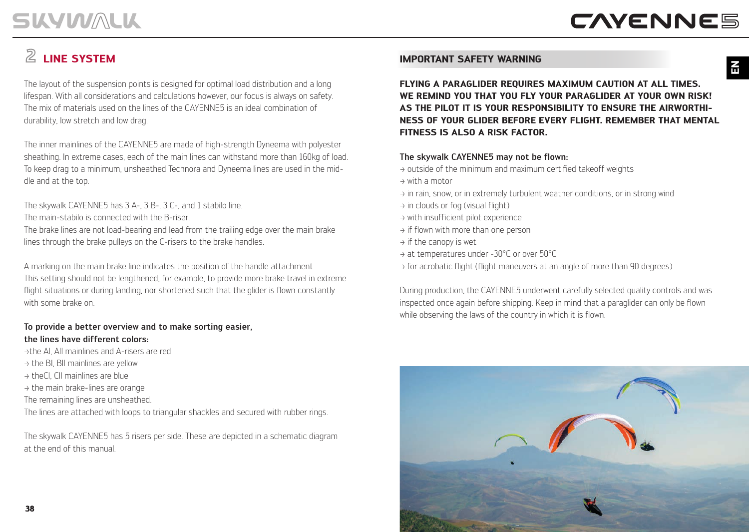# **LINE SYSTEM**

The layout of the suspension points is designed for optimal load distribution and a long lifespan. With all considerations and calculations however, our focus is always on safety. The mix of materials used on the lines of the CAYENNE5 is an ideal combination of durability, low stretch and low drag.

The inner mainlines of the CAYENNE5 are made of high-strength Dyneema with polyester sheathing. In extreme cases, each of the main lines can withstand more than 160kg of load. To keep drag to a minimum, unsheathed Technora and Dyneema lines are used in the middle and at the top.

The skywalk CAYENNE5 has 3 A-, 3 B-, 3 C-, and 1 stabilo line.

The main-stabilo is connected with the B-riser.

The brake lines are not load-bearing and lead from the trailing edge over the main brake lines through the brake pulleys on the C-risers to the brake handles.

A marking on the main brake line indicates the position of the handle attachment. This setting should not be lengthened, for example, to provide more brake travel in extreme flight situations or during landing, nor shortened such that the glider is flown constantly with some brake on.

### To provide a better overview and to make sorting easier, the lines have different colors:

>the AI, AII mainlines and A-risers are red

- $\rightarrow$  the BI, BII mainlines are vellow
- $\rightarrow$  theCl. CII mainlines are blue
- $\rightarrow$  the main brake-lines are orange
- The remaining lines are unsheathed.

The lines are attached with loops to triangular shackles and secured with rubber rings.

The skywalk CAYENNE5 has 5 risers per side. These are depicted in a schematic diagram at the end of this manual.

### **IMPORTANT SAFETY WARNING**

**FLYING A PARAGLIDER REQUIRES MAXIMUM CAUTION AT ALL TIMES. WE REMIND YOU THAT YOU FLY YOUR PARAGLIDER AT YOUR OWN RISK! AS THE PILOT IT IS YOUR RESPONSIBILITY TO ENSURE THE AIRWORTHI-NESS OF YOUR GLIDER BEFORE EVERY FLIGHT. REMEMBER THAT MENTAL FITNESS IS ALSO A RISK FACTOR.**

### The skywalk CAYENNE5 may not be flown:

- $\rightarrow$  outside of the minimum and maximum certified takeoff weights
- $\rightarrow$  with a motor
- $\rightarrow$  in rain, snow, or in extremely turbulent weather conditions, or in strong wind
- $\rightarrow$  in clouds or fog (visual flight)
- $\rightarrow$  with insufficient pilot experience
- $\rightarrow$  if flown with more than one person
- $\rightarrow$  if the canopy is wet
- > at temperatures under -30°C or over 50°C
- $\rightarrow$  for acrobatic flight (flight maneuvers at an angle of more than 90 degrees)

During production, the CAYENNE5 underwent carefully selected quality controls and was inspected once again before shipping. Keep in mind that a paraglider can only be flown while observing the laws of the country in which it is flown.

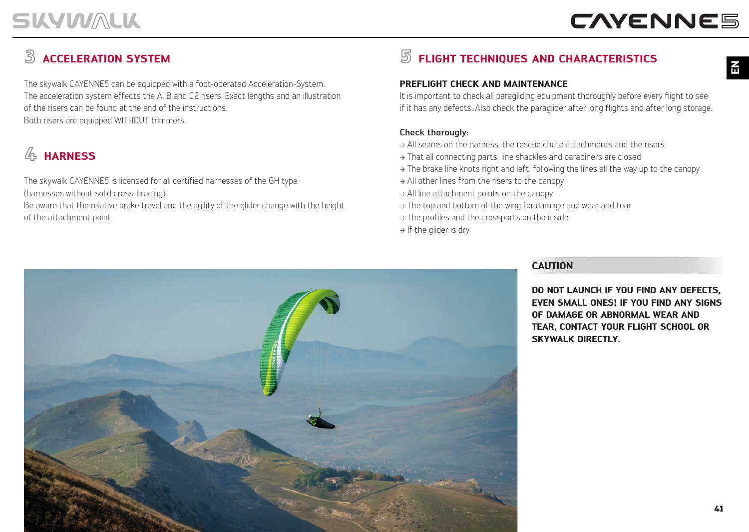**H** 

## **ACCELERATION SYSTEM**

The skywalk CAYENNE5 can be equipped with a foot-operated Acceleration-System. The acceleration system effects the A, B and C2 risers. Exact lengths and an illustration of the risers can be found at the end of the instructions. Both risers are equipped WITHOUT trimmers.

## **HARNESS**

The skywalk CAYENNE5 is licensed for all certified harnesses of the GH type (harnesses without solid cross-bracing).

Be aware that the relative brake travel and the agility of the glider change with the height of the attachment point.

## **FLIGHT TECHNIQUES AND CHARACTERISTICS**

### **PREFLIGHT CHECK AND MAINTENANCE**

It is important to check all paragliding equipment thoroughly before every flight to see if it has any defects. Also check the paraglider after long flights and after long storage.

### Check thorougly:

- $\rightarrow$  All seams on the harness, the rescue chute attachments and the risers
- > That all connecting parts, line shackles and carabiners are closed
- $\rightarrow$  The brake line knots right and left, following the lines all the way up to the canopy
- $\rightarrow$  All other lines from the risers to the canopy
- > All line attachment points on the canopy
- $\rightarrow$  The top and bottom of the wing for damage and wear and tear
- $\rightarrow$  The profiles and the crossports on the inside
- $\rightarrow$  If the glider is dry

### **CAUTION**

**DO NOT LAUNCH IF YOU FIND ANY DEFECTS, EVEN SMALL ONES! IF YOU FIND ANY SIGNS OF DAMAGE OR ABNORMAL WEAR AND TEAR, CONTACT YOUR FLIGHT SCHOOL OR SKYWALK DIRECTLY.**

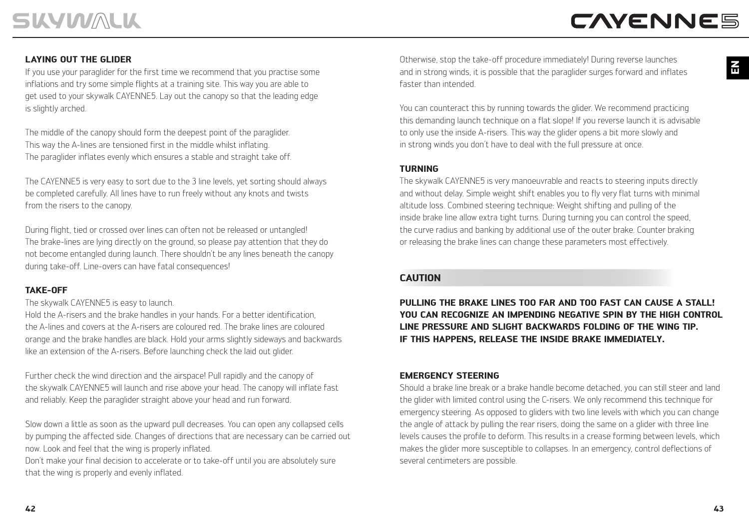### **LAYING OUT THE GLIDER**

If you use your paraglider for the first time we recommend that you practise some inflations and try some simple flights at a training site. This way you are able to get used to your skywalk CAYENNE5. Lay out the canopy so that the leading edge is slightly arched.

The middle of the canopy should form the deepest point of the paraglider. This way the A-lines are tensioned first in the middle whilst inflating. The paraglider inflates evenly which ensures a stable and straight take off.

The CAYENNE5 is very easy to sort due to the 3 line levels, yet sorting should always be completed carefully. All lines have to run freely without any knots and twists from the risers to the canopy.

During flight, tied or crossed over lines can often not be released or untangled! The brake-lines are lying directly on the ground, so please pay attention that they do not become entangled during launch. There shouldn't be any lines beneath the canopy during take-off. Line-overs can have fatal consequences!

### **TAKE-OFF**

The skywalk CAYENNE5 is easy to launch.

Hold the A-risers and the brake handles in your hands. For a better identification, the A-lines and covers at the A-risers are coloured red. The brake lines are coloured orange and the brake handles are black. Hold your arms slightly sideways and backwards like an extension of the A-risers. Before launching check the laid out glider.

Further check the wind direction and the airspace! Pull rapidly and the canopy of the skywalk CAYENNE5 will launch and rise above your head. The canopy will inflate fast and reliably. Keep the paraglider straight above your head and run forward.

Slow down a little as soon as the upward pull decreases. You can open any collapsed cells by pumping the affected side. Changes of directions that are necessary can be carried out now. Look and feel that the wing is properly inflated.

Don't make your final decision to accelerate or to take-off until you are absolutely sure that the wing is properly and evenly inflated.

Otherwise, stop the take-off procedure immediately! During reverse launches and in strong winds, it is possible that the paraglider surges forward and inflates faster than intended.

You can counteract this by running towards the glider. We recommend practicing this demanding launch technique on a flat slope! If you reverse launch it is advisable to only use the inside A-risers. This way the glider opens a bit more slowly and in strong winds you don´t have to deal with the full pressure at once.

### **TURNING**

The skywalk CAYENNE5 is very manoeuvrable and reacts to steering inputs directly and without delay. Simple weight shift enables you to fly very flat turns with minimal altitude loss. Combined steering technique: Weight shifting and pulling of the inside brake line allow extra tight turns. During turning you can control the speed, the curve radius and banking by additional use of the outer brake. Counter braking or releasing the brake lines can change these parameters most effectively.

### **CAUTION**

**PULLING THE BRAKE LINES TOO FAR AND TOO FAST CAN CAUSE A STALL! YOU CAN RECOGNIZE AN IMPENDING NEGATIVE SPIN BY THE HIGH CONTROL LINE PRESSURE AND SLIGHT BACKWARDS FOLDING OF THE WING TIP. IF THIS HAPPENS, RELEASE THE INSIDE BRAKE IMMEDIATELY.**

### **EMERGENCY STEERING**

Should a brake line break or a brake handle become detached, you can still steer and land the glider with limited control using the C-risers. We only recommend this technique for emergency steering. As opposed to gliders with two line levels with which you can change the angle of attack by pulling the rear risers, doing the same on a glider with three line levels causes the profile to deform. This results in a crease forming between levels, which makes the glider more susceptible to collapses. In an emergency, control deflections of several centimeters are possible.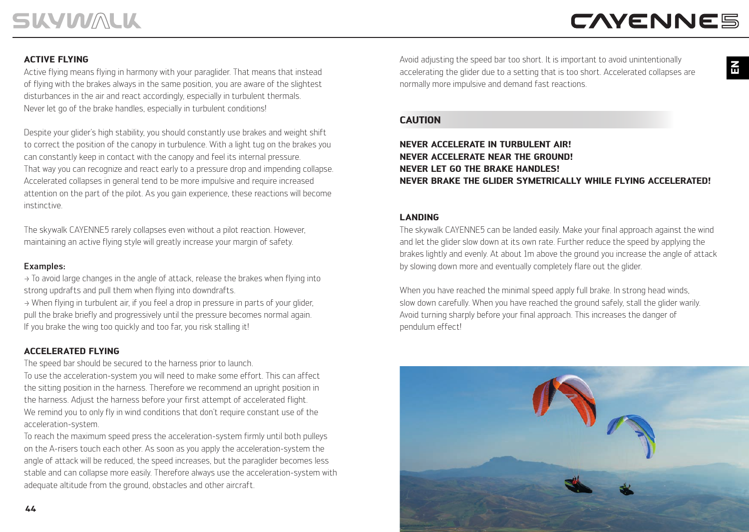**EN**

### **ACTIVE FLYING**

Active flying means flying in harmony with your paraglider. That means that instead of flying with the brakes always in the same position, you are aware of the slightest disturbances in the air and react accordingly, especially in turbulent thermals. Never let go of the brake handles, especially in turbulent conditions!

Despite your glider's high stability, you should constantly use brakes and weight shift to correct the position of the canopy in turbulence. With a light tug on the brakes you can constantly keep in contact with the canopy and feel its internal pressure. That way you can recognize and react early to a pressure drop and impending collapse. Accelerated collapses in general tend to be more impulsive and require increased attention on the part of the pilot. As you gain experience, these reactions will become instinctive.

The skywalk CAYENNE5 rarely collapses even without a pilot reaction. However, maintaining an active flying style will greatly increase your margin of safety.

#### Examples:

 $\rightarrow$  To avoid large changes in the angle of attack, release the brakes when flying into strong updrafts and pull them when flying into downdrafts.

 $\rightarrow$  When flying in turbulent air, if you feel a drop in pressure in parts of your glider, pull the brake briefly and progressively until the pressure becomes normal again. If you brake the wing too quickly and too far, you risk stalling it!

### **ACCELERATED FLYING**

The speed bar should be secured to the harness prior to launch. To use the acceleration-system you will need to make some effort. This can affect the sitting position in the harness. Therefore we recommend an upright position in the harness. Adjust the harness before your first attempt of accelerated flight. We remind you to only fly in wind conditions that don't require constant use of the acceleration-system.

To reach the maximum speed press the acceleration-system firmly until both pulleys on the A-risers touch each other. As soon as you apply the acceleration-system the angle of attack will be reduced, the speed increases, but the paraglider becomes less stable and can collapse more easily. Therefore always use the acceleration-system with adequate altitude from the ground, obstacles and other aircraft.

Avoid adjusting the speed bar too short. It is important to avoid unintentionally accelerating the glider due to a setting that is too short. Accelerated collapses are normally more impulsive and demand fast reactions.

#### **CAUTION**

### **NEVER ACCELERATE IN TURBULENT AIR! NEVER ACCELERATE NEAR THE GROUND! NEVER LET GO THE BRAKE HANDLES! NEVER BRAKE THE GLIDER SYMETRICALLY WHILE FLYING ACCELERATED!**

### **LANDING**

The skywalk CAYENNE5 can be landed easily. Make your final approach against the wind and let the glider slow down at its own rate. Further reduce the speed by applying the brakes lightly and evenly. At about 1m above the ground you increase the angle of attack by slowing down more and eventually completely flare out the glider.

When you have reached the minimal speed apply full brake. In strong head winds, slow down carefully. When you have reached the ground safely, stall the glider warily. Avoid turning sharply before your final approach. This increases the danger of pendulum effect!

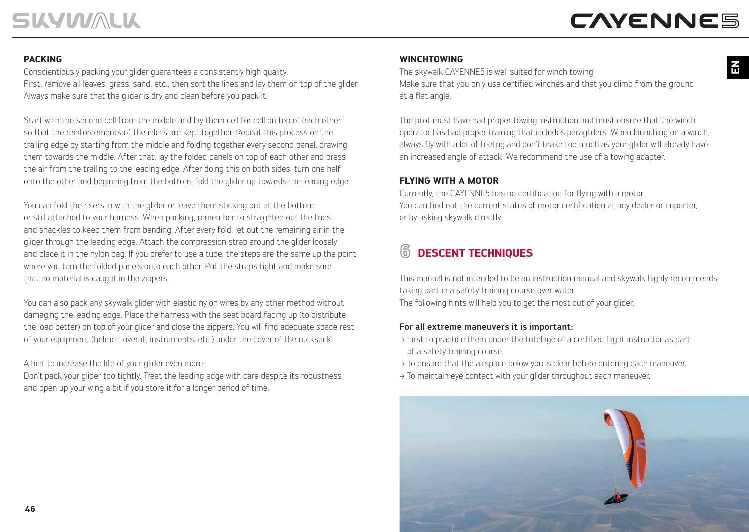# **CAYENNE5**

### **PACKING**

Conscientiously packing your glider guarantees a consistently high quality. First, remove all leaves, grass, sand, etc., then sort the lines and lay them on top of the glider. Always make sure that the glider is dry and clean before you pack it.

Start with the second cell from the middle and lay them cell for cell on top of each other so that the reinforcements of the inlets are kept together. Repeat this process on the trailing edge by starting from the middle and folding together every second panel, drawing them towards the middle. After that, lay the folded panels on top of each other and press the air from the trailing to the leading edge. After doing this on both sides, turn one half onto the other and beginning from the bottom, fold the glider up towards the leading edge.

You can fold the risers in with the glider or leave them sticking out at the bottom or still attached to your harness. When packing, remember to straighten out the lines and shackles to keep them from bending. After every fold, let out the remaining air in the glider through the leading edge. Attach the compression strap around the glider loosely and place it in the nylon bag. If you prefer to use a tube, the steps are the same up the point where you turn the folded panels onto each other. Pull the straps tight and make sure that no material is caught in the zippers.

You can also pack any skywalk glider with elastic nylon wires by any other method without damaging the leading edge. Place the harness with the seat board facing up (to distribute the load better) on top of your glider and close the zippers. You will find adequate space rest of your equipment (helmet, overall, instruments, etc.) under the cover of the rucksack.

A hint to increase the life of your glider even more:

Don't pack your glider too tightly. Treat the leading edge with care despite its robustness and open up your wing a bit if you store it for a longer period of time.

### **WINCHTOWING**

The skywalk CAYENNE5 is well suited for winch towing. Make sure that you only use certified winches and that you climb from the ground at a flat angle.

The pilot must have had proper towing instruction and must ensure that the winch operator has had proper training that includes paragliders. When launching on a winch, always fly with a lot of feeling and don't brake too much as your glider will already have an increased angle of attack. We recommend the use of a towing adapter.

### **FLYING WITH A MOTOR**

Currently, the CAYENNE5 has no certification for flying with a motor. You can find out the current status of motor certification at any dealer or importer, or by asking skywalk directly.

### **DESCENT TECHNIQUES**

This manual is not intended to be an instruction manual and skywalk highly recommends taking part in a safety training course over water.

The following hints will help you to get the most out of your glider.

### For all extreme maneuvers it is important:

- $\rightarrow$  First to practice them under the tutelage of a certified flight instructor as part of a safety training course.
- $\rightarrow$  To ensure that the airspace below you is clear before entering each maneuver.
- $\rightarrow$  To maintain eye contact with your glider throughout each maneuver.



**EN**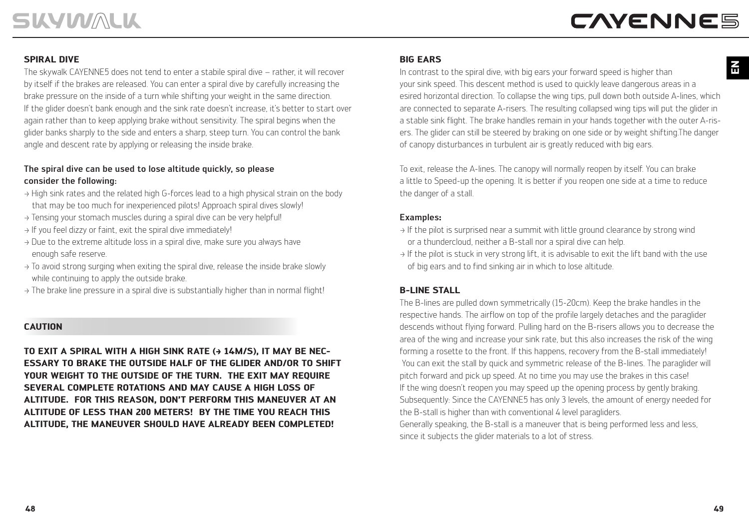### **SPIRAL DIVE**

The skywalk CAYENNE5 does not tend to enter a stabile spiral dive – rather, it will recover by itself if the brakes are released. You can enter a spiral dive by carefully increasing the brake pressure on the inside of a turn while shifting your weight in the same direction. If the glider doesn't bank enough and the sink rate doesn't increase, it's better to start over again rather than to keep applying brake without sensitivity. The spiral begins when the glider banks sharply to the side and enters a sharp, steep turn. You can control the bank angle and descent rate by applying or releasing the inside brake.

### The spiral dive can be used to lose altitude quickly, so please consider the following:

- > High sink rates and the related high G-forces lead to a high physical strain on the body that may be too much for inexperienced pilots! Approach spiral dives slowly!
- > Tensing your stomach muscles during a spiral dive can be very helpful!
- > If you feel dizzy or faint, exit the spiral dive immediately!
- $\rightarrow$  Due to the extreme altitude loss in a spiral dive, make sure you always have enough safe reserve.
- $\rightarrow$  To avoid strong surging when exiting the spiral dive, release the inside brake slowly while continuing to apply the outside brake.
- $\rightarrow$  The brake line pressure in a spiral dive is substantially higher than in normal flight!

### **CAUTION**

TO EXIT A SPIRAL WITH A HIGH SINK RATE (+ 14M/S), IT MAY BE NEC-**ESSARY TO BRAKE THE OUTSIDE HALF OF THE GLIDER AND/OR TO SHIFT YOUR WEIGHT TO THE OUTSIDE OF THE TURN. THE EXIT MAY REQUIRE SEVERAL COMPLETE ROTATIONS AND MAY CAUSE A HIGH LOSS OF ALTITUDE. FOR THIS REASON, DON'T PERFORM THIS MANEUVER AT AN ALTITUDE OF LESS THAN 200 METERS! BY THE TIME YOU REACH THIS ALTITUDE, THE MANEUVER SHOULD HAVE ALREADY BEEN COMPLETED!**

### **BIG EARS**

In contrast to the spiral dive, with big ears your forward speed is higher than your sink speed. This descent method is used to quickly leave dangerous areas in a esired horizontal direction. To collapse the wing tips, pull down both outside A-lines, which are connected to separate A-risers. The resulting collapsed wing tips will put the glider in a stable sink flight. The brake handles remain in your hands together with the outer A-risers. The glider can still be steered by braking on one side or by weight shifting.The danger of canopy disturbances in turbulent air is greatly reduced with big ears.

To exit, release the A-lines. The canopy will normally reopen by itself. You can brake a little to Speed-up the opening. It is better if you reopen one side at a time to reduce the danger of a stall.

### Examples**:**

- $\rightarrow$  If the pilot is surprised near a summit with little ground clearance by strong wind or a thundercloud, neither a B-stall nor a spiral dive can help.
- $\rightarrow$  If the pilot is stuck in very strong lift, it is advisable to exit the lift band with the use of big ears and to find sinking air in which to lose altitude.

### **B-LINE STALL**

The B-lines are pulled down symmetrically (15-20cm). Keep the brake handles in the respective hands. The airflow on top of the profile largely detaches and the paraglider descends without flying forward. Pulling hard on the B-risers allows you to decrease the area of the wing and increase your sink rate, but this also increases the risk of the wing forming a rosette to the front. If this happens, recovery from the B-stall immediately! You can exit the stall by quick and symmetric release of the B-lines. The paraglider will pitch forward and pick up speed. At no time you may use the brakes in this case! If the wing doesn't reopen you may speed up the opening process by gently braking. Subsequently: Since the CAYENNE5 has only 3 levels, the amount of energy needed for the B-stall is higher than with conventional 4 level paragliders.

Generally speaking, the B-stall is a maneuver that is being performed less and less, since it subjects the glider materials to a lot of stress.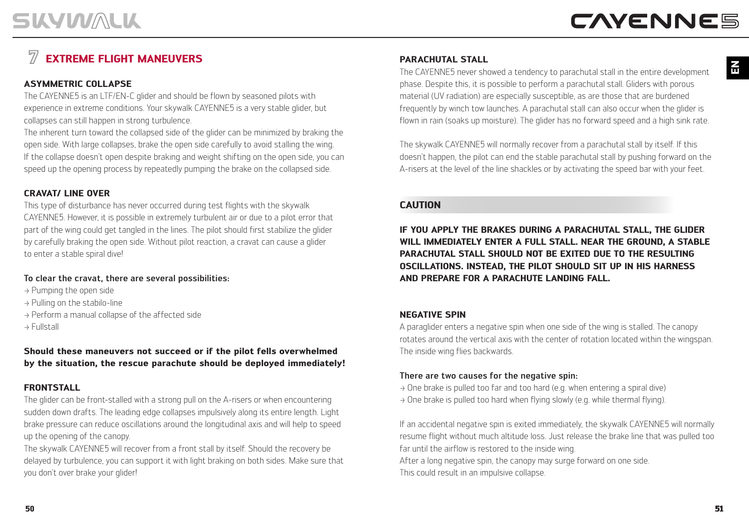### **EXTREME FLIGHT MANEUVERS**

### **ASYMMETRIC COLLAPSE**

The CAYENNE5 is an LTF/EN-C glider and should be flown by seasoned pilots with experience in extreme conditions. Your skywalk CAYENNE5 is a very stable glider, but collapses can still happen in strong turbulence.

The inherent turn toward the collapsed side of the glider can be minimized by braking the open side. With large collapses, brake the open side carefully to avoid stalling the wing. If the collapse doesn't open despite braking and weight shifting on the open side, you can speed up the opening process by repeatedly pumping the brake on the collapsed side.

### **CRAVAT/ LINE OVER**

This type of disturbance has never occurred during test flights with the skywalk CAYENNE5. However, it is possible in extremely turbulent air or due to a pilot error that part of the wing could get tangled in the lines. The pilot should first stabilize the glider by carefully braking the open side. Without pilot reaction, a cravat can cause a glider to enter a stable spiral dive!

### To clear the cravat, there are several possibilities:

- > Pumping the open side
- > Pulling on the stabilo-line
- > Perform a manual collapse of the affected side
- > Fullstall

### **Should these maneuvers not succeed or if the pilot fells overwhelmed by the situation, the rescue parachute should be deployed immediately!**

### **FRONTSTALL**

The glider can be front-stalled with a strong pull on the A-risers or when encountering sudden down drafts. The leading edge collapses impulsively along its entire length. Light brake pressure can reduce oscillations around the longitudinal axis and will help to speed up the opening of the canopy.

The skywalk CAYENNE5 will recover from a front stall by itself. Should the recovery be delayed by turbulence, you can support it with light braking on both sides. Make sure that you don't over brake your glider!

### **PARACHUTAL STALL**

The CAYENNE5 never showed a tendency to parachutal stall in the entire development phase. Despite this, it is possible to perform a parachutal stall. Gliders with porous material (UV radiation) are especially susceptible, as are those that are burdened frequently by winch tow launches. A parachutal stall can also occur when the glider is flown in rain (soaks up moisture). The glider has no forward speed and a high sink rate.

The skywalk CAYENNE5 will normally recover from a parachutal stall by itself. If this doesn't happen, the pilot can end the stable parachutal stall by pushing forward on the A-risers at the level of the line shackles or by activating the speed bar with your feet.

### **CAUTION**

**IF YOU APPLY THE BRAKES DURING A PARACHUTAL STALL, THE GLIDER WILL IMMEDIATELY ENTER A FULL STALL. NEAR THE GROUND, A STABLE PARACHUTAL STALL SHOULD NOT BE EXITED DUE TO THE RESULTING OSCILLATIONS. INSTEAD, THE PILOT SHOULD SIT UP IN HIS HARNESS AND PREPARE FOR A PARACHUTE LANDING FALL.**

### **NEGATIVE SPIN**

A paraglider enters a negative spin when one side of the wing is stalled. The canopy rotates around the vertical axis with the center of rotation located within the wingspan. The inside wing flies backwards.

### There are two causes for the negative spin:

 $\rightarrow$  One brake is pulled too far and too hard (e.g. when entering a spiral dive)  $\rightarrow$  One brake is pulled too hard when flying slowly (e.g. while thermal flying).

If an accidental negative spin is exited immediately, the skywalk CAYENNE5 will normally resume flight without much altitude loss. Just release the brake line that was pulled too far until the airflow is restored to the inside wing.

After a long negative spin, the canopy may surge forward on one side. This could result in an impulsive collapse.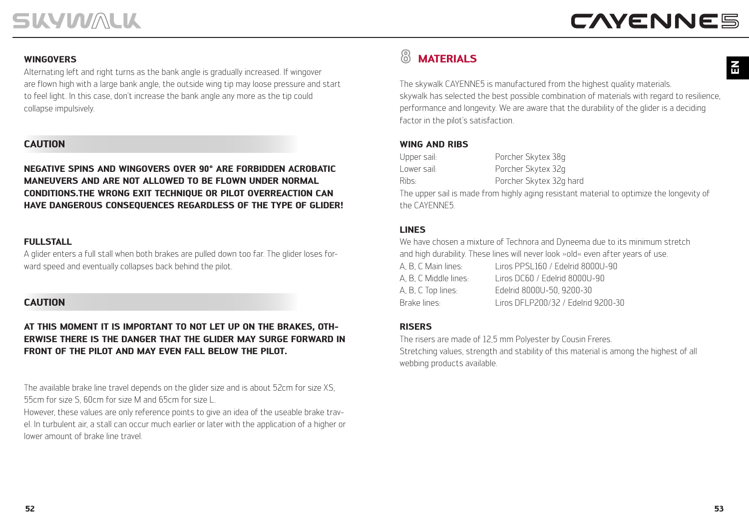### **WINGOVERS**

Alternating left and right turns as the bank angle is gradually increased. If wingover are flown high with a large bank angle, the outside wing tip may loose pressure and start to feel light. In this case, don't increase the bank angle any more as the tip could collapse impulsively.

### **CAUTION**

**NEGATIVE SPINS AND WINGOVERS OVER 90° ARE FORBIDDEN ACROBATIC MANEUVERS AND ARE NOT ALLOWED TO BE FLOWN UNDER NORMAL CONDITIONS.THE WRONG EXIT TECHNIQUE OR PILOT OVERREACTION CAN HAVE DANGEROUS CONSEQUENCES REGARDLESS OF THE TYPE OF GLIDER!**

### **FULLSTALL**

A glider enters a full stall when both brakes are pulled down too far. The glider loses forward speed and eventually collapses back behind the pilot.

### **CAUTION**

### **AT THIS MOMENT IT IS IMPORTANT TO NOT LET UP ON THE BRAKES, OTH-ERWISE THERE IS THE DANGER THAT THE GLIDER MAY SURGE FORWARD IN FRONT OF THE PILOT AND MAY EVEN FALL BELOW THE PILOT.**

The available brake line travel depends on the glider size and is about 52cm for size XS, 55cm for size S, 60cm for size M and 65cm for size L.

However, these values are only reference points to give an idea of the useable brake travel. In turbulent air, a stall can occur much earlier or later with the application of a higher or lower amount of brake line travel.

#### இ **MATERIALS**

The skywalk CAYENNE5 is manufactured from the highest quality materials. skywalk has selected the best possible combination of materials with regard to resilience, performance and longevity. We are aware that the durability of the glider is a deciding factor in the pilot's satisfaction.

### **WING AND RIBS**

| Upper sail:       | Porcher Skytex 38g                                                                      |
|-------------------|-----------------------------------------------------------------------------------------|
| Lower sail:       | Porcher Skytex 32g                                                                      |
| Rihs <sub>t</sub> | Porcher Skytex 32g hard                                                                 |
|                   | The upper sail is made from highly aging resistant material to optimize the longevity o |

The upper sail is made from highly aging resistant material to optimize the longevity of the CAYENNE5.

### **LINES**

We have chosen a mixture of Technora and Dyneema due to its minimum stretch and high durability. These lines will never look »old« even after years of use.

| A. B. C Main lines: . | Liros PPSL160 / Edelrid 8000U-90    |
|-----------------------|-------------------------------------|
| A. B. C Middle lines: | Liros DC60 / Edelrid 8000U-90       |
| A, B, C Top lines:    | Edelrid 8000U-50, 9200-30           |
| Brake lines:          | Liros DEL P200/32 / Edelrid 9200-30 |

### **RISERS**

The risers are made of 12,5 mm Polyester by Cousin Freres. Stretching values, strength and stability of this material is among the highest of all webbing products available.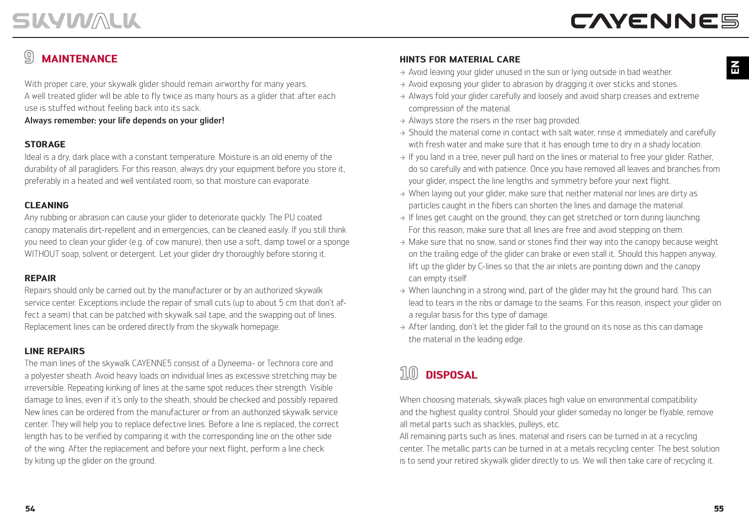### **MAINTENANCE**

With proper care, your skywalk glider should remain airworthy for many years. A well treated glider will be able to fly twice as many hours as a glider that after each use is stuffed without feeling back into its sack.

Always remember: your life depends on your glider!

### **STORAGE**

Ideal is a dry, dark place with a constant temperature. Moisture is an old enemy of the durability of all paragliders. For this reason, always dry your equipment before you store it, preferably in a heated and well ventilated room, so that moisture can evaporate.

### **CLEANING**

Any rubbing or abrasion can cause your glider to deteriorate quickly. The PU coated canopy materialis dirt-repellent and in emergencies, can be cleaned easily. If you still think you need to clean your glider (e.g. of cow manure), then use a soft, damp towel or a sponge WITHOUT soap, solvent or detergent. Let your glider dry thoroughly before storing it.

### **REPAIR**

Repairs should only be carried out by the manufacturer or by an authorized skywalk service center. Exceptions include the repair of small cuts (up to about 5 cm that don't affect a seam) that can be patched with skywalk sail tape, and the swapping out of lines. Replacement lines can be ordered directly from the skywalk homepage.

### **LINE REPAIRS**

The main lines of the skywalk CAYENNE5 consist of a Dyneema- or Technora core and a polyester sheath. Avoid heavy loads on individual lines as excessive stretching may be irreversible. Repeating kinking of lines at the same spot reduces their strength. Visible damage to lines, even if it's only to the sheath, should be checked and possibly repaired. New lines can be ordered from the manufacturer or from an authorized skywalk service center. They will help you to replace defective lines. Before a line is replaced, the correct length has to be verified by comparing it with the corresponding line on the other side of the wing. After the replacement and before your next flight, perform a line check by kiting up the glider on the ground.

### **HINTS FOR MATERIAL CARE**

- $\rightarrow$  Avoid leaving your glider unused in the sun or lying outside in bad weather.
- $\rightarrow$  Avoid exposing your glider to abrasion by dragging it over sticks and stones.
- > Always fold your glider carefully and loosely and avoid sharp creases and extreme compression of the material.
- $\rightarrow$  Always store the risers in the riser bag provided.
- → Should the material come in contact with salt water, rinse it immediately and carefully with fresh water and make sure that it has enough time to dry in a shady location.
- $\rightarrow$  If you land in a tree, never pull hard on the lines or material to free your glider. Rather, do so carefully and with patience. Once you have removed all leaves and branches from your glider, inspect the line lengths and symmetry before your next flight.
- $\rightarrow$  When laying out your glider, make sure that neither material nor lines are dirty as particles caught in the fibers can shorten the lines and damage the material.
- $\rightarrow$  If lines get caught on the ground, they can get stretched or torn during launching. For this reason, make sure that all lines are free and avoid stepping on them.
- $\rightarrow$  Make sure that no snow, sand or stones find their way into the canopy because weight on the trailing edge of the glider can brake or even stall it. Should this happen anyway, lift up the glider by C-lines so that the air inlets are pointing down and the canopy can empty itself.
- $\rightarrow$  When launching in a strong wind, part of the glider may hit the ground hard. This can lead to tears in the ribs or damage to the seams. For this reason, inspect your glider on a regular basis for this type of damage.
- $\rightarrow$  After landing, don't let the glider fall to the ground on its nose as this can damage the material in the leading edge.

#### $10$ **DISPOSAL**

When choosing materials, skywalk places high value on environmental compatibility and the highest quality control. Should your glider someday no longer be flyable, remove all metal parts such as shackles, pulleys, etc.

All remaining parts such as lines, material and risers can be turned in at a recycling center. The metallic parts can be turned in at a metals recycling center. The best solution is to send your retired skywalk glider directly to us. We will then take care of recycling it.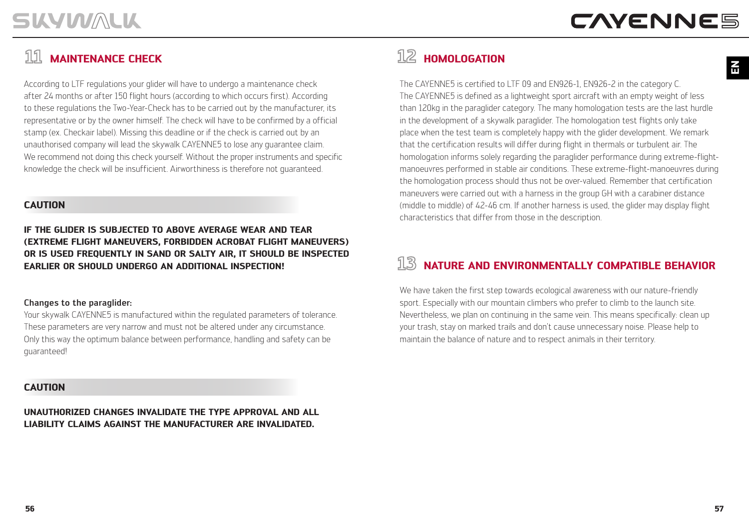### **MAINTENANCE CHECK**

According to LTF regulations your glider will have to undergo a maintenance check after 24 months or after 150 flight hours (according to which occurs first). According to these regulations the Two-Year-Check has to be carried out by the manufacturer, its representative or by the owner himself. The check will have to be confirmed by a official stamp (ex. Checkair label). Missing this deadline or if the check is carried out by an unauthorised company will lead the skywalk CAYENNE5 to lose any guarantee claim. We recommend not doing this check yourself. Without the proper instruments and specific knowledge the check will be insufficient. Airworthiness is therefore not guaranteed.

### **CAUTION**

**IF THE GLIDER IS SUBJECTED TO ABOVE AVERAGE WEAR AND TEAR (EXTREME FLIGHT MANEUVERS, FORBIDDEN ACROBAT FLIGHT MANEUVERS) OR IS USED FREQUENTLY IN SAND OR SALTY AIR, IT SHOULD BE INSPECTED EARLIER OR SHOULD UNDERGO AN ADDITIONAL INSPECTION!**

### Changes to the paraglider:

Your skywalk CAYENNE5 is manufactured within the regulated parameters of tolerance. These parameters are very narrow and must not be altered under any circumstance. Only this way the optimum balance between performance, handling and safety can be guaranteed!

### **CAUTION**

**UNAUTHORIZED CHANGES INVALIDATE THE TYPE APPROVAL AND ALL LIABILITY CLAIMS AGAINST THE MANUFACTURER ARE INVALIDATED.**

## $\overline{\text{12}}$  **HOMOLOGATION**

The CAYENNE5 is certified to LTF 09 and EN926-1, EN926-2 in the category C. The CAYENNE5 is defined as a lightweight sport aircraft with an empty weight of less than 120kg in the paraglider category. The many homologation tests are the last hurdle in the development of a skywalk paraglider. The homologation test flights only take place when the test team is completely happy with the glider development. We remark that the certification results will differ during flight in thermals or turbulent air. The homologation informs solely regarding the paraglider performance during extreme-flightmanoeuvres performed in stable air conditions. These extreme-flight-manoeuvres during the homologation process should thus not be over-valued. Remember that certification maneuvers were carried out with a harness in the group GH with a carabiner distance (middle to middle) of 42-46 cm. If another harness is used, the glider may display flight characteristics that differ from those in the description.

#### 13 **NATURE AND ENVIRONMENTALLY COMPATIBLE BEHAVIOR**

We have taken the first step towards ecological awareness with our nature-friendly sport. Especially with our mountain climbers who prefer to climb to the launch site. Nevertheless, we plan on continuing in the same vein. This means specifically: clean up your trash, stay on marked trails and don't cause unnecessary noise. Please help to maintain the balance of nature and to respect animals in their territory.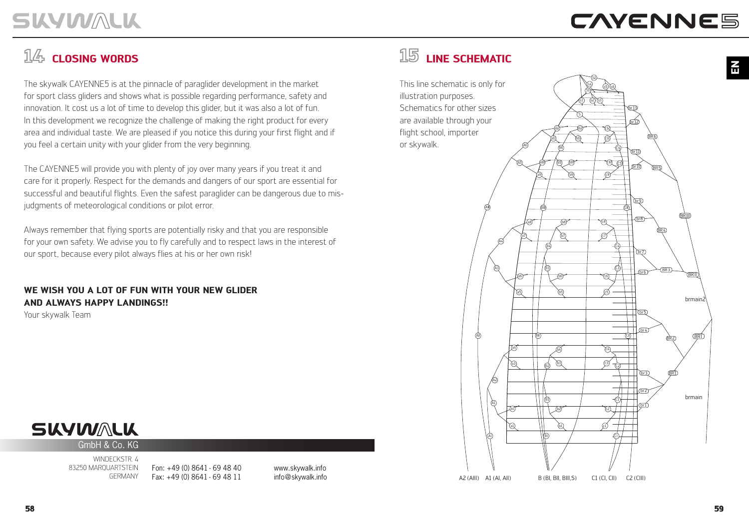**EN**

## $\frac{\pi}{\sqrt{2}}$  **CLOSING WORDS**

The skywalk CAYENNE5 is at the pinnacle of paraglider development in the market for sport class gliders and shows what is possible regarding performance, safety and innovation. It cost us a lot of time to develop this glider, but it was also a lot of fun. In this development we recognize the challenge of making the right product for every area and individual taste. We are pleased if you notice this during your first flight and if you feel a certain unity with your glider from the very beginning.

The CAYENNE5 will provide you with plenty of joy over many years if you treat it and care for it properly. Respect for the demands and dangers of our sport are essential for successful and beautiful flights. Even the safest paraglider can be dangerous due to misjudgments of meteorological conditions or pilot error.

Always remember that flying sports are potentially risky and that you are responsible for your own safety. We advise you to fly carefully and to respect laws in the interest of our sport, because every pilot always flies at his or her own risk!

**WE WISH YOU A LOT OF FUN WITH YOUR NEW GLIDER AND ALWAYS HAPPY LANDINGS!!**

Your skywalk Team

## **SKYWALK**

GmbH & Co. KG

WINDECKSTR 4 83250 MARQUARTSTEIN GERMANY

Fon: +49 (0) 8641 - 69 48 40 Fax: +49 (0) 8641 - 69 48 11

www.skywalk.info info@skywalk.info



This line schematic is only for illustration purposes. Schematics for other sizes are available through your flight school, importer or skywalk.

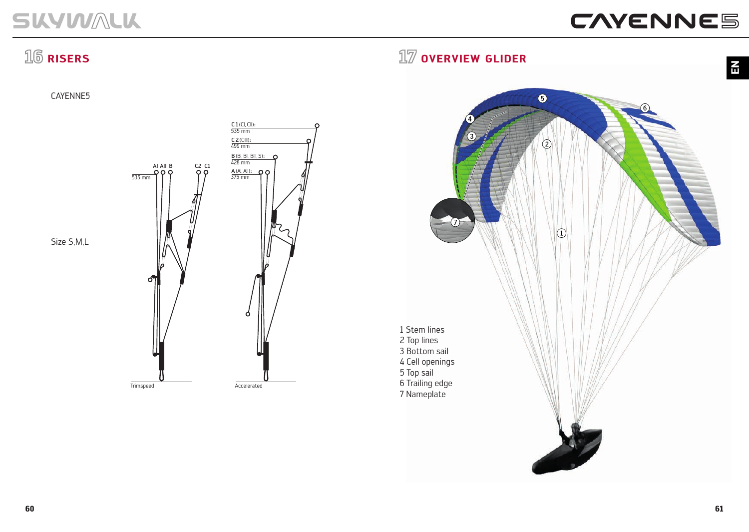# CAYENNE5

# $16$  **RISERS**

CAYENNE5



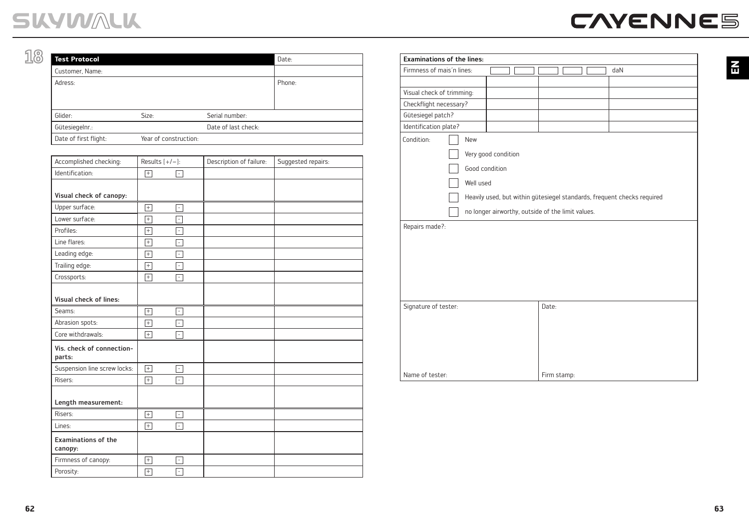**EN**

| <b>Test Protocol</b>  |                       |                     | Date:  |
|-----------------------|-----------------------|---------------------|--------|
| Customer, Name:       |                       |                     |        |
| Adress:               |                       |                     | Phone: |
|                       |                       |                     |        |
|                       |                       |                     |        |
| Glider:               | Size:                 | Serial number:      |        |
| Gütesiegelnr.:        |                       | Date of last check: |        |
| Date of first flight: | Year of construction: |                     |        |

| Accomplished checking:                | Results $[+/]-]$ : |                          | Description of failure: | Suggested repairs: |
|---------------------------------------|--------------------|--------------------------|-------------------------|--------------------|
| Identification:                       | $\boxed{+}$        | $\overline{\phantom{a}}$ |                         |                    |
| Visual check of canopy:               |                    |                          |                         |                    |
|                                       |                    |                          |                         |                    |
| Upper surface:<br>Lower surface:      | $\lceil + \rceil$  | Ξ                        |                         |                    |
|                                       | $\overline{+}$     | Ξ                        |                         |                    |
| Profiles:                             | $\overline{+}$     | Ξ                        |                         |                    |
| Line flares:                          | $\overline{+}$     | $\bar{\phantom{a}}$      |                         |                    |
| Leading edge:                         | $\overline{+}$     | Ţ                        |                         |                    |
| Trailing edge:                        | $^{+}$             | Ξ                        |                         |                    |
| Crossports:                           | $\boxed{+}$        | Ξ                        |                         |                    |
| <b>Visual check of lines:</b>         |                    |                          |                         |                    |
| Seams:                                | $\overline{+}$     | F                        |                         |                    |
| Abrasion spots:                       | $\overline{+}$     | $\overline{\phantom{a}}$ |                         |                    |
| Core withdrawals:                     | $\boxed{+}$        | τ                        |                         |                    |
| Vis. check of connection-<br>parts:   |                    |                          |                         |                    |
| Suspension line screw locks:          | $\overline{+}$     | $\overline{\phantom{a}}$ |                         |                    |
| Risers:                               | $\boxed{+}$        | Ξ                        |                         |                    |
| Length measurement:                   |                    |                          |                         |                    |
| Risers:                               | $\boxed{+}$        | $\overline{\phantom{a}}$ |                         |                    |
| Lines:                                | $\boxed{+}$        | Ξ                        |                         |                    |
| <b>Examinations of the</b><br>canopy: |                    |                          |                         |                    |
| Firmness of canopy:                   | $\lceil + \rceil$  | Ξ                        |                         |                    |
| Porosity:                             | $\overline{+}$     | Ξ                        |                         |                    |

| <b>Examinations of the lines:</b> |            |                                                   |                                                                         |             |  |  |     |  |
|-----------------------------------|------------|---------------------------------------------------|-------------------------------------------------------------------------|-------------|--|--|-----|--|
| Firmness of mais'n lines:         |            |                                                   |                                                                         |             |  |  | daN |  |
| Visual check of trimming:         |            |                                                   |                                                                         |             |  |  |     |  |
| Checkflight necessary?            |            |                                                   |                                                                         |             |  |  |     |  |
| Gütesiegel patch?                 |            |                                                   |                                                                         |             |  |  |     |  |
| Identification plate?             |            |                                                   |                                                                         |             |  |  |     |  |
| Condition:                        | <b>New</b> |                                                   |                                                                         |             |  |  |     |  |
|                                   |            | Very good condition                               |                                                                         |             |  |  |     |  |
|                                   |            | Good condition                                    |                                                                         |             |  |  |     |  |
|                                   |            | Well used                                         |                                                                         |             |  |  |     |  |
|                                   |            |                                                   | Heavily used, but within gütesiegel standards, frequent checks required |             |  |  |     |  |
|                                   |            | no longer airworthy, outside of the limit values. |                                                                         |             |  |  |     |  |
| Repairs made?:                    |            |                                                   |                                                                         |             |  |  |     |  |
|                                   |            |                                                   |                                                                         |             |  |  |     |  |
|                                   |            |                                                   |                                                                         |             |  |  |     |  |
|                                   |            |                                                   |                                                                         |             |  |  |     |  |
|                                   |            |                                                   |                                                                         |             |  |  |     |  |
|                                   |            |                                                   |                                                                         |             |  |  |     |  |
|                                   |            |                                                   |                                                                         |             |  |  |     |  |
| Signature of tester:              |            |                                                   |                                                                         | Date:       |  |  |     |  |
|                                   |            |                                                   |                                                                         |             |  |  |     |  |
|                                   |            |                                                   |                                                                         |             |  |  |     |  |
|                                   |            |                                                   |                                                                         |             |  |  |     |  |
|                                   |            |                                                   |                                                                         |             |  |  |     |  |
|                                   |            |                                                   |                                                                         |             |  |  |     |  |
| Name of tester:                   |            |                                                   |                                                                         | Firm stamp: |  |  |     |  |